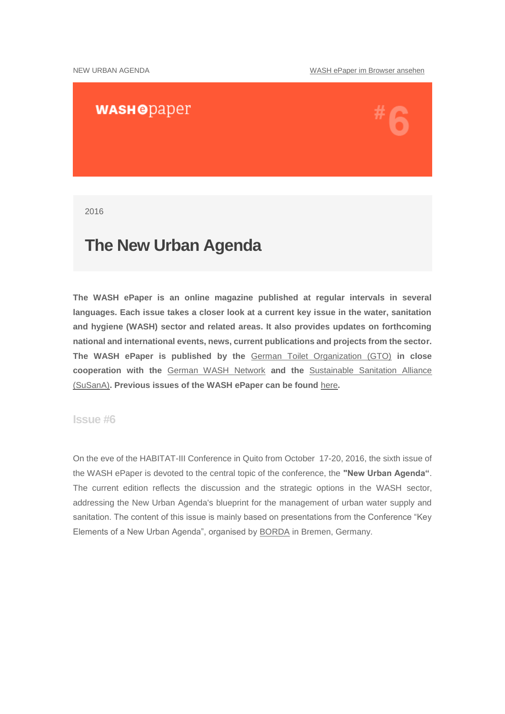### **WASHODaper**

2016

### **The New Urban Agenda**

**The WASH ePaper is an online magazine published at regular intervals in several languages. Each issue takes a closer look at a current key issue in the water, sanitation and hygiene (WASH) sector and related areas. It also provides updates on forthcoming national and international events, news, current publications and projects from the sector. The WASH ePaper is published by the** [German Toilet Organization \(GTO\)](http://www.germantoilet.org/) **in close cooperation with the** [German WASH Network](http://www.washnet.de/) **and the** [Sustainable Sanitation Alliance](http://www.susana.org/)  [\(SuSanA\)](http://www.susana.org/)**. Previous issues of the WASH ePaper can be found** [here](http://www.washnet.de/en/epaper/)**.**

#### **Issue #6**

On the eve of the HABITAT-III Conference in Quito from October 17-20, 2016, the sixth issue of the WASH ePaper is devoted to the central topic of the conference, the **"New Urban Agenda"**. The current edition reflects the discussion and the strategic options in the WASH sector, addressing the New Urban Agenda's blueprint for the management of urban water supply and sanitation. The content of this issue is mainly based on presentations from the Conference "Key Elements of a New Urban Agenda", organised by [BORDA](http://www.borda.de/) in Bremen, Germany.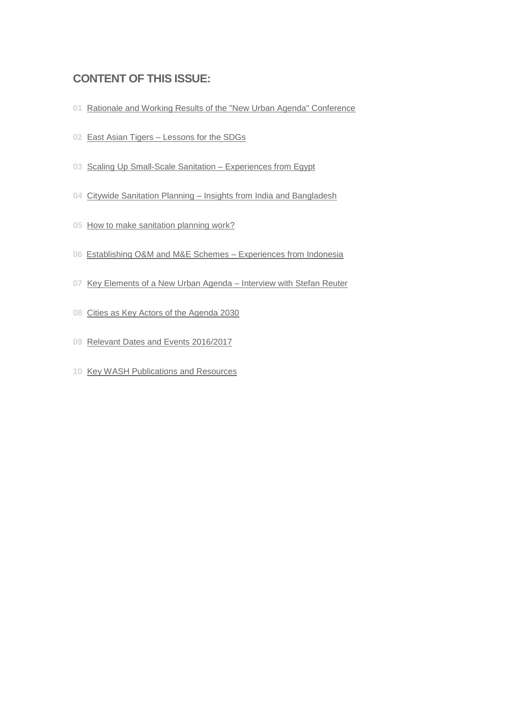### **CONTENT OF THIS ISSUE:**

- [Rationale and Working Results of the "New Urban Agenda" Conference](#page-2-0)
- East Asian Tigers [Lessons for the SDGs](#page-3-0)
- [Scaling Up Small-Scale Sanitation –](#page-3-1) Experiences from Egypt
- Citywide Sanitation Planning [Insights from India and Bangladesh](#page-4-0)
- [How to make sanitation planning work?](#page-4-1)
- [Establishing O&M and M&E Schemes –](#page-5-0) Experiences from Indonesia
- [Key Elements of a New Urban Agenda –](#page-6-0) Interview with Stefan Reuter
- [Cities as Key Actors of the Agenda 2030](#page-6-1)
- [Relevant Dates and Events 2016/2017](#page-7-0)
- [Key WASH Publications and Resources](#page-9-0)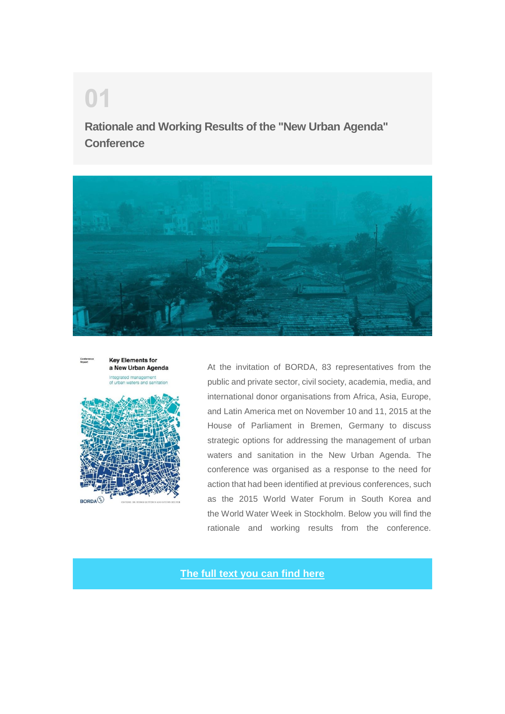## **Rationale and Working Results of the "New Urban Agenda" Conference**





<span id="page-2-0"></span>**01**



At the invitation of BORDA, 83 representatives from the public and private sector, civil society, academia, media, and international donor organisations from Africa, Asia, Europe, and Latin America met on November 10 and 11, 2015 at the House of Parliament in Bremen, Germany to discuss strategic options for addressing the management of urban waters and sanitation in the New Urban Agenda. The conference was organised as a response to the need for action that had been identified at previous conferences, such as the 2015 World Water Forum in South Korea and the World Water Week in Stockholm. Below you will find the rationale and working results from the conference.

**[The full text you can find here](http://www.borda.de/content/uploads/2016/09/2016_Strategic-options-for-addressing-the-management-of-urban-waters-and-sanitation-in-the-New-Urban-Agenda-1.pdf)**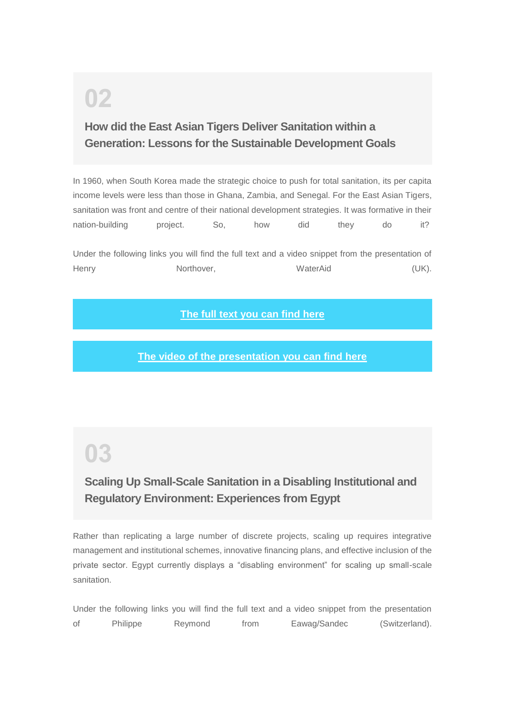## **How did the East Asian Tigers Deliver Sanitation within a Generation: Lessons for the Sustainable Development Goals**

In 1960, when South Korea made the strategic choice to push for total sanitation, its per capita income levels were less than those in Ghana, Zambia, and Senegal. For the East Asian Tigers, sanitation was front and centre of their national development strategies. It was formative in their nation-building project. So, how did they do it?

Under the following links you will find the full text and a video snippet from the presentation of Henry **Northover,** WaterAid **(UK).** Northover, WaterAid (UK).

**[The full text you can find here](http://www.borda.de/content/uploads/2016/09/2016-How-did-the-East-Asian-Tigers-deliver-1.pdf)**

**[The video of the presentation you can find here](https://www.youtube.com/watch?v=Qpik8AMOILw&list=PLElNv1UQRqXqqsDdhNk_XS7-XZh55yvBG&index=2)**

# <span id="page-3-1"></span>**03**

<span id="page-3-0"></span>**02**

### **Scaling Up Small-Scale Sanitation in a Disabling Institutional and Regulatory Environment: Experiences from Egypt**

Rather than replicating a large number of discrete projects, scaling up requires integrative management and institutional schemes, innovative financing plans, and effective inclusion of the private sector. Egypt currently displays a "disabling environment" for scaling up small-scale sanitation.

Under the following links you will find the full text and a video snippet from the presentation of Philippe Reymond from Eawag/Sandec (Switzerland).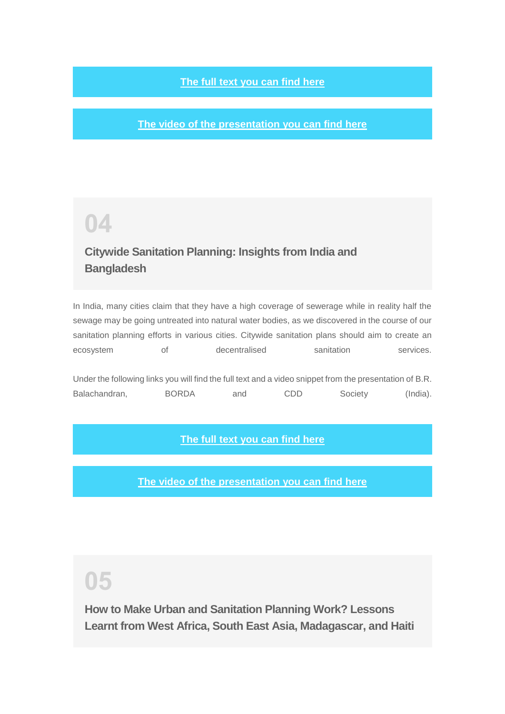#### **[The full text you can find here](http://www.borda.de/content/uploads/2016/09/2016-Scaling-up-small-scale-sanitation-in-a-disabling-institutional-and-regulatory-environment.pdf)**

**[The video of the presentation you can find here](https://www.youtube.com/watch?v=1GPgicTh8ao&feature=youtu.be)**

## <span id="page-4-0"></span>**04**

### **Citywide Sanitation Planning: Insights from India and Bangladesh**

In India, many cities claim that they have a high coverage of sewerage while in reality half the sewage may be going untreated into natural water bodies, as we discovered in the course of our sanitation planning efforts in various cities. Citywide sanitation plans should aim to create an ecosystem of decentralised sanitation services.

Under the following links you will find the full text and a video snippet from the presentation of B.R. Balachandran, BORDA and CDD Society (India).

#### **[The full text you can find here](http://www.borda.de/content/uploads/2016/09/2016-Citywide-sanitation-planning.pdf)**

**[The video of the presentation you can find here](https://www.youtube.com/watch?v=umvKhv88J5Q&list=PLElNv1UQRqXqqsDdhNk_XS7-XZh55yvBG&index=1)**

## <span id="page-4-1"></span>**05**

**How to Make Urban and Sanitation Planning Work? Lessons Learnt from West Africa, South East Asia, Madagascar, and Haiti**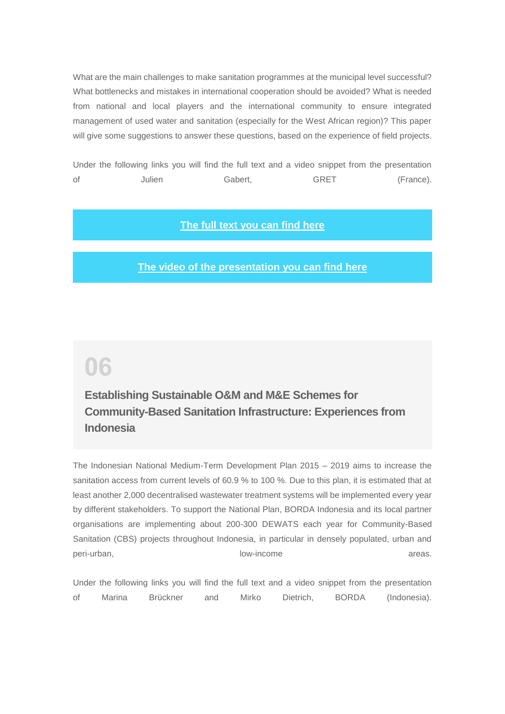What are the main challenges to make sanitation programmes at the municipal level successful? What bottlenecks and mistakes in international cooperation should be avoided? What is needed from national and local players and the international community to ensure integrated management of used water and sanitation (especially for the West African region)? This paper will give some suggestions to answer these questions, based on the experience of field projects.

Under the following links you will find the full text and a video snippet from the presentation of Julien Gabert, GRET (France).

#### **[The full text you can find here](http://www.borda.de/content/uploads/2016/09/2016-How-to-make-urban-and-sanitation-planning-work.pdf)**

#### **[The video of the presentation you can find here](https://www.youtube.com/watch?v=KWW1Y3clT3o)**

## <span id="page-5-0"></span>**06**

### **Establishing Sustainable O&M and M&E Schemes for Community-Based Sanitation Infrastructure: Experiences from Indonesia**

The Indonesian National Medium-Term Development Plan 2015 – 2019 aims to increase the sanitation access from current levels of 60.9 % to 100 %. Due to this plan, it is estimated that at least another 2,000 decentralised wastewater treatment systems will be implemented every year by different stakeholders. To support the National Plan, BORDA Indonesia and its local partner organisations are implementing about 200-300 DEWATS each year for Community-Based Sanitation (CBS) projects throughout Indonesia, in particular in densely populated, urban and peri-urban, areas. **low-income** areas.

Under the following links you will find the full text and a video snippet from the presentation of Marina Brückner and Mirko Dietrich, BORDA (Indonesia).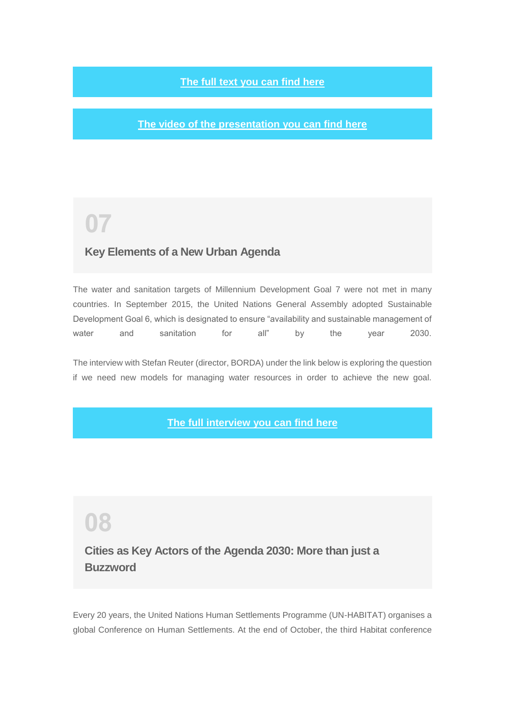#### **[The full text you can find here](http://www.borda.de/content/uploads/2016/09/2016-Establishing-sustainable-Operation-Maintenance-or-CBS-infrastructure.pdf)**

**[The video of the presentation you can find here](https://www.youtube.com/watch?v=U2OnUmlC8fw&feature=youtu.be)**

## <span id="page-6-0"></span>**07**

#### **Key Elements of a New Urban Agenda**

The water and sanitation targets of Millennium Development Goal 7 were not met in many countries. In September 2015, the United Nations General Assembly adopted Sustainable Development Goal 6, which is designated to ensure "availability and sustainable management of water and sanitation for all" by the year 2030.

The interview with Stefan Reuter (director, BORDA) under the link below is exploring the question if we need new models for managing water resources in order to achieve the new goal.

#### **[The full interview you can find here](http://www.thesourcemagazine.org/key-elements-new-urban-agenda/)**

## <span id="page-6-1"></span>**08**

**Cities as Key Actors of the Agenda 2030: More than just a Buzzword**

Every 20 years, the United Nations Human Settlements Programme (UN-HABITAT) organises a global Conference on Human Settlements. At the end of October, the third Habitat conference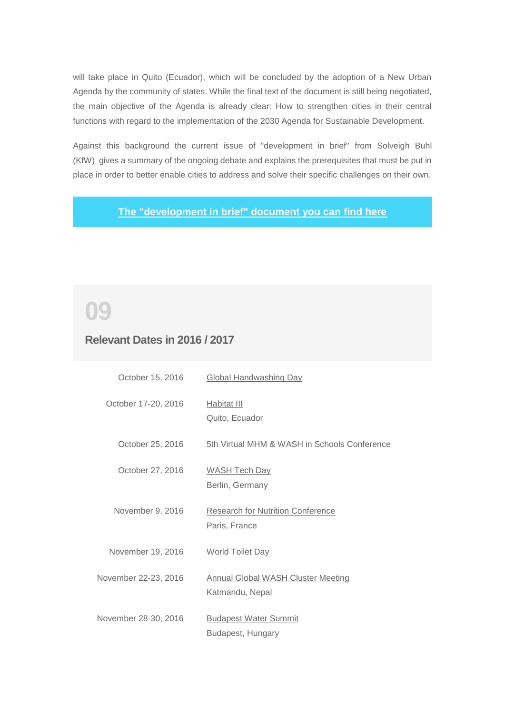will take place in Quito (Ecuador), which will be concluded by the adoption of a New Urban Agenda by the community of states. While the final text of the document is still being negotiated, the main objective of the Agenda is already clear: How to strengthen cities in their central functions with regard to the implementation of the 2030 Agenda for Sustainable Development.

Against this background the current issue of "development in brief" from Solveigh Buhl (KfW) gives a summary of the ongoing debate and explains the prerequisites that must be put in place in order to better enable cities to address and solve their specific challenges on their own.

**[The "development in brief" document you can find here](https://www.kfw.de/KfW-Group/Newsroom/Aktuelles/News/News-Details_374080.html)**

# <span id="page-7-0"></span>**09**

#### **Relevant Dates in 2016 / 2017**

| October 15, 2016     | <b>Global Handwashing Day</b>                                |
|----------------------|--------------------------------------------------------------|
| October 17-20, 2016  | Habitat III<br>Quito, Ecuador                                |
| October 25, 2016     | 5th Virtual MHM & WASH in Schools Conference                 |
| October 27, 2016     | <b>WASH Tech Day</b><br>Berlin, Germany                      |
| November 9, 2016     | <b>Research for Nutrition Conference</b><br>Paris, France    |
| November 19, 2016    | World Toilet Day                                             |
| November 22-23, 2016 | <b>Annual Global WASH Cluster Meeting</b><br>Katmandu, Nepal |
| November 28-30, 2016 | <b>Budapest Water Summit</b><br>Budapest, Hungary            |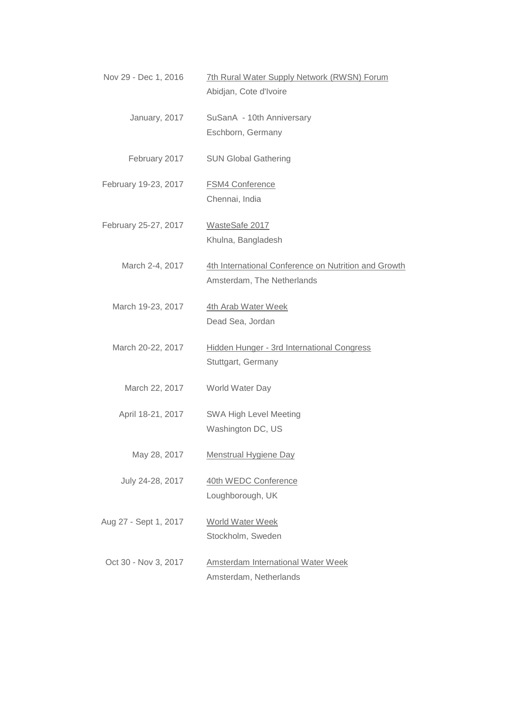| Nov 29 - Dec 1, 2016  | 7th Rural Water Supply Network (RWSN) Forum<br>Abidjan, Cote d'Ivoire              |
|-----------------------|------------------------------------------------------------------------------------|
| January, 2017         | SuSanA - 10th Anniversary<br>Eschborn, Germany                                     |
| February 2017         | <b>SUN Global Gathering</b>                                                        |
| February 19-23, 2017  | <b>FSM4 Conference</b><br>Chennai, India                                           |
| February 25-27, 2017  | WasteSafe 2017<br>Khulna, Bangladesh                                               |
| March 2-4, 2017       | 4th International Conference on Nutrition and Growth<br>Amsterdam, The Netherlands |
| March 19-23, 2017     | 4th Arab Water Week<br>Dead Sea, Jordan                                            |
| March 20-22, 2017     | Hidden Hunger - 3rd International Congress<br>Stuttgart, Germany                   |
| March 22, 2017        | World Water Day                                                                    |
| April 18-21, 2017     | SWA High Level Meeting<br>Washington DC, US                                        |
| May 28, 2017          | <b>Menstrual Hygiene Day</b>                                                       |
| July 24-28, 2017      | 40th WEDC Conference<br>Loughborough, UK                                           |
| Aug 27 - Sept 1, 2017 | <b>World Water Week</b><br>Stockholm, Sweden                                       |
| Oct 30 - Nov 3, 2017  | <b>Amsterdam International Water Week</b><br>Amsterdam, Netherlands                |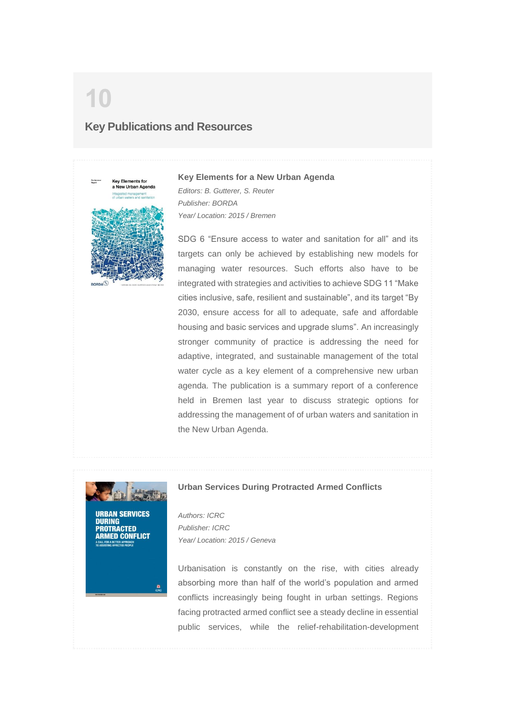## <span id="page-9-0"></span>**10 Key Publications and Resources**



#### **Key Elements for a New Urban Agenda**

*Editors: B. Gutterer, S. Reuter Publisher: BORDA Year/ Location: 2015 / Bremen*

SDG 6 "Ensure access to water and sanitation for all" and its targets can only be achieved by establishing new models for managing water resources. Such efforts also have to be integrated with strategies and activities to achieve SDG 11 "Make cities inclusive, safe, resilient and sustainable", and its target "By 2030, ensure access for all to adequate, safe and affordable housing and basic services and upgrade slums". An increasingly stronger community of practice is addressing the need for adaptive, integrated, and sustainable management of the total water cycle as a key element of a comprehensive new urban agenda. The publication is a summary report of a conference held in Bremen last year to discuss strategic options for addressing the management of of urban waters and sanitation in the New Urban Agenda.



**Urban Services During Protracted Armed Conflicts**

**URBAN SERVICES DURING** ROTRACTED **IMED CONFLICT** 

ø

*Authors: ICRC Publisher: ICRC Year/ Location: 2015 / Geneva*

Urbanisation is constantly on the rise, with cities already absorbing more than half of the world's population and armed conflicts increasingly being fought in urban settings. Regions facing protracted armed conflict see a steady decline in essential public services, while the relief-rehabilitation-development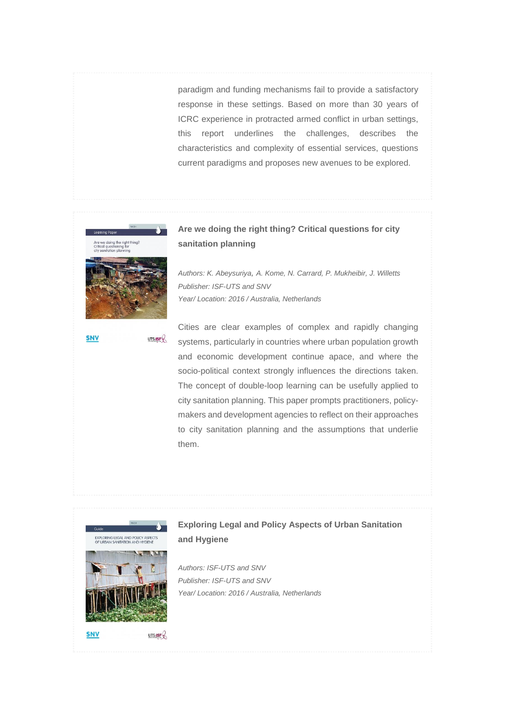paradigm and funding mechanisms fail to provide a satisfactory response in these settings. Based on more than 30 years of ICRC experience in protracted armed conflict in urban settings, this report underlines the challenges, describes the characteristics and complexity of essential services, questions current paradigms and proposes new avenues to be explored.



#### **Are we doing the right thing? Critical questions for city sanitation planning**

*Authors: K. Abeysuriya, A. Kome, N. Carrard, P. Mukheibir, J. Willetts Publisher: ISF-UTS and SNV Year/ Location: 2016 / Australia, Netherlands*

**SNV** UTS:ISF $Q$ 

Cities are clear examples of complex and rapidly changing systems, particularly in countries where urban population growth and economic development continue apace, and where the socio-political context strongly influences the directions taken. The concept of double-loop learning can be usefully applied to city sanitation planning. This paper prompts practitioners, policymakers and development agencies to reflect on their approaches to city sanitation planning and the assumptions that underlie them.



#### **Exploring Legal and Policy Aspects of Urban Sanitation and Hygiene**

*Authors: ISF-UTS and SNV Publisher: ISF-UTS and SNV Year/ Location: 2016 / Australia, Netherlands*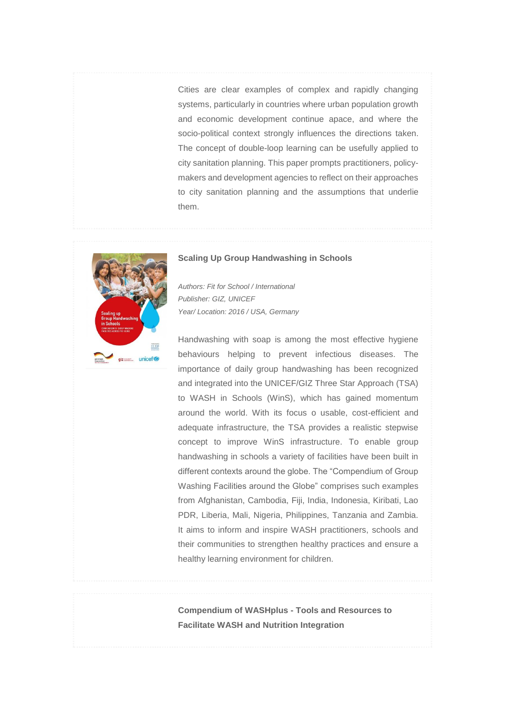Cities are clear examples of complex and rapidly changing systems, particularly in countries where urban population growth and economic development continue apace, and where the socio-political context strongly influences the directions taken. The concept of double-loop learning can be usefully applied to city sanitation planning. This paper prompts practitioners, policymakers and development agencies to reflect on their approaches to city sanitation planning and the assumptions that underlie them.



#### **Scaling Up Group Handwashing in Schools**

*Authors: Fit for School / International Publisher: GIZ, UNICEF Year/ Location: 2016 / USA, Germany*

Handwashing with soap is among the most effective hygiene behaviours helping to prevent infectious diseases. The importance of daily group handwashing has been recognized and integrated into the UNICEF/GIZ Three Star Approach (TSA) to WASH in Schools (WinS), which has gained momentum around the world. With its focus o usable, cost-efficient and adequate infrastructure, the TSA provides a realistic stepwise concept to improve WinS infrastructure. To enable group handwashing in schools a variety of facilities have been built in different contexts around the globe. The "Compendium of Group Washing Facilities around the Globe" comprises such examples from Afghanistan, Cambodia, Fiji, India, Indonesia, Kiribati, Lao PDR, Liberia, Mali, Nigeria, Philippines, Tanzania and Zambia. It aims to inform and inspire WASH practitioners, schools and their communities to strengthen healthy practices and ensure a healthy learning environment for children.

**Compendium of WASHplus - Tools and Resources to Facilitate WASH and Nutrition Integration**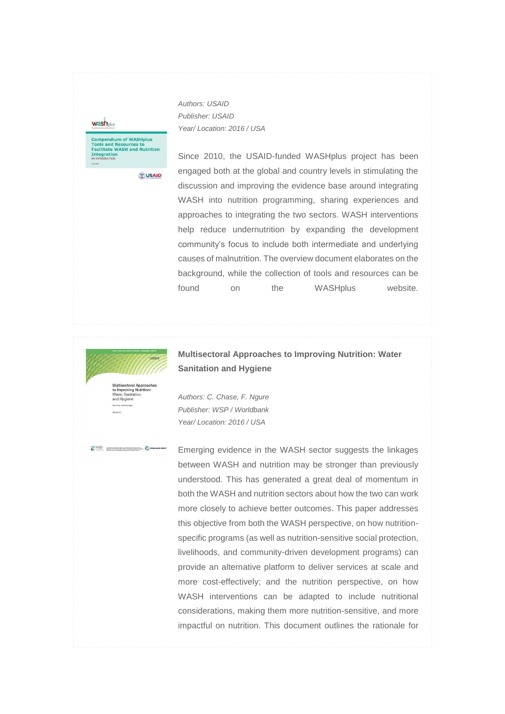**wash** plus

**Compendium of WASHplus<br>Tools and Resources to<br>Facilitate WASH and Nutrition<br>Integration<br>ANINYOOUCION** 

*Authors: USAID Publisher: USAID Year/ Location: 2016 / USA*

**OUSAID** 

Since 2010, the USAID-funded WASHplus project has been engaged both at the global and country levels in stimulating the discussion and improving the evidence base around integrating WASH into nutrition programming, sharing experiences and approaches to integrating the two sectors. WASH interventions help reduce undernutrition by expanding the development community's focus to include both intermediate and underlying causes of malnutrition. The overview document elaborates on the background, while the collection of tools and resources can be found on the WASHplus website.



WSD **Telephone Company and Annual Property and Property and Property Company** 

**Multisectoral Approaches to Improving Nutrition: Water Sanitation and Hygiene**

to Improving<br>Water, Sanita and Hygiene

*Authors: C. Chase, F. Ngure Publisher: WSP / Worldbank Year/ Location: 2016 / USA*

Emerging evidence in the WASH sector suggests the linkages between WASH and nutrition may be stronger than previously understood. This has generated a great deal of momentum in both the WASH and nutrition sectors about how the two can work more closely to achieve better outcomes. This paper addresses this objective from both the WASH perspective, on how nutritionspecific programs (as well as nutrition-sensitive social protection, livelihoods, and community-driven development programs) can provide an alternative platform to deliver services at scale and more cost-effectively; and the nutrition perspective, on how WASH interventions can be adapted to include nutritional considerations, making them more nutrition-sensitive, and more impactful on nutrition. This document outlines the rationale for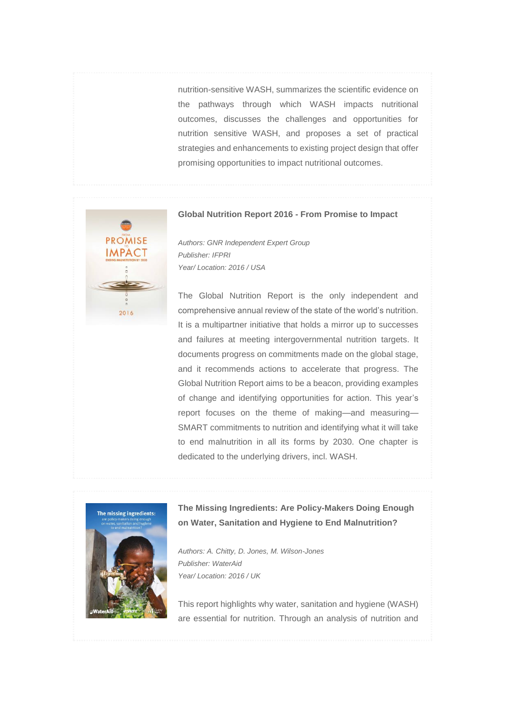nutrition-sensitive WASH, summarizes the scientific evidence on the pathways through which WASH impacts nutritional outcomes, discusses the challenges and opportunities for nutrition sensitive WASH, and proposes a set of practical strategies and enhancements to existing project design that offer promising opportunities to impact nutritional outcomes.



#### **Global Nutrition Report 2016 - From Promise to Impact**

*Authors: GNR Independent Expert Group Publisher: IFPRI Year/ Location: 2016 / USA*

The Global Nutrition Report is the only independent and comprehensive annual review of the state of the world's nutrition. It is a multipartner initiative that holds a mirror up to successes and failures at meeting intergovernmental nutrition targets. It documents progress on commitments made on the global stage, and it recommends actions to accelerate that progress. The Global Nutrition Report aims to be a beacon, providing examples of change and identifying opportunities for action. This year's report focuses on the theme of making—and measuring— SMART commitments to nutrition and identifying what it will take to end malnutrition in all its forms by 2030. One chapter is dedicated to the underlying drivers, incl. WASH.



#### **The Missing Ingredients: Are Policy-Makers Doing Enough on Water, Sanitation and Hygiene to End Malnutrition?**

*Authors: A. Chitty, D. Jones, M. Wilson-Jones Publisher: WaterAid Year/ Location: 2016 / UK*

This report highlights why water, sanitation and hygiene (WASH) are essential for nutrition. Through an analysis of nutrition and